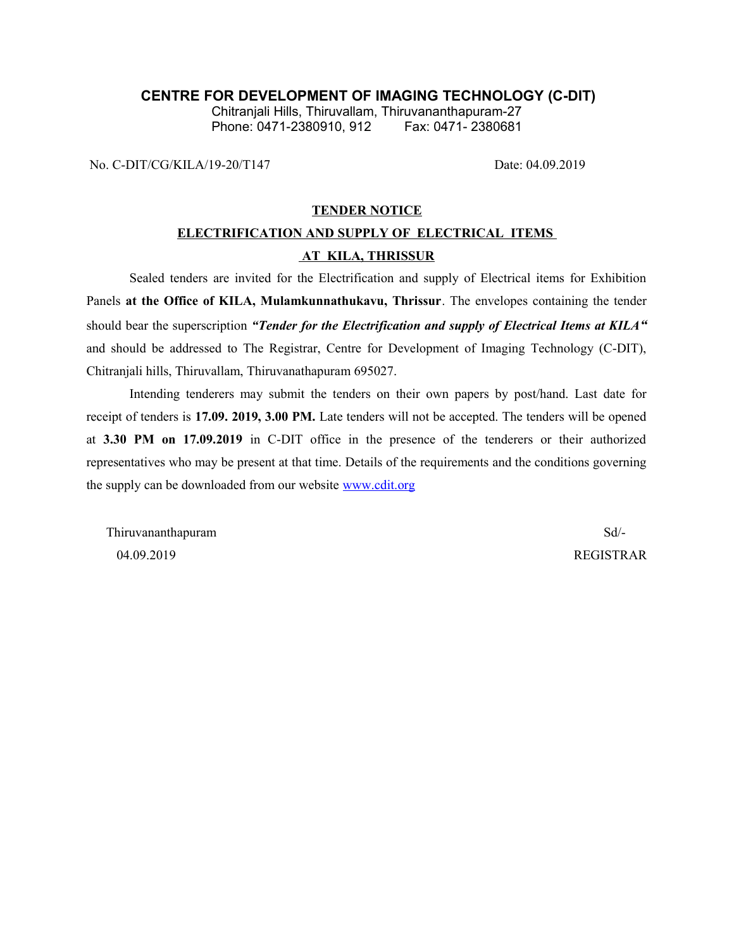## **CENTRE FOR DEVELOPMENT OF IMAGING TECHNOLOGY (C-DIT)**

Chitranjali Hills, Thiruvallam, Thiruvananthapuram-27 Phone: 0471-2380910, 912

No. C-DIT/CG/KILA/19-20/T147 Date: 04.09.2019

#### **TENDER NOTICE**

# **ELECTRIFICATION AND SUPPLY OF ELECTRICAL ITEMS AT KILA, THRISSUR**

Sealed tenders are invited for the Electrification and supply of Electrical items for Exhibition Panels **at the Office of KILA, Mulamkunnathukavu, Thrissur**. The envelopes containing the tender should bear the superscription *"Tender for the Electrification and supply of Electrical Items at KILA"* and should be addressed to The Registrar, Centre for Development of Imaging Technology (C-DIT), Chitranjali hills, Thiruvallam, Thiruvanathapuram 695027.

Intending tenderers may submit the tenders on their own papers by post/hand. Last date for receipt of tenders is **17.09. 2019, 3.00 PM.** Late tenders will not be accepted. The tenders will be opened at **3.30 PM on 17.09.2019** in C-DIT office in the presence of the tenderers or their authorized representatives who may be present at that time. Details of the requirements and the conditions governing the supply can be downloaded from our website [www.cdit.org](http://www.cdit.org/)

Thiruvananthapuram Sd<sup>--</sup> 04.09.2019 REGISTRAR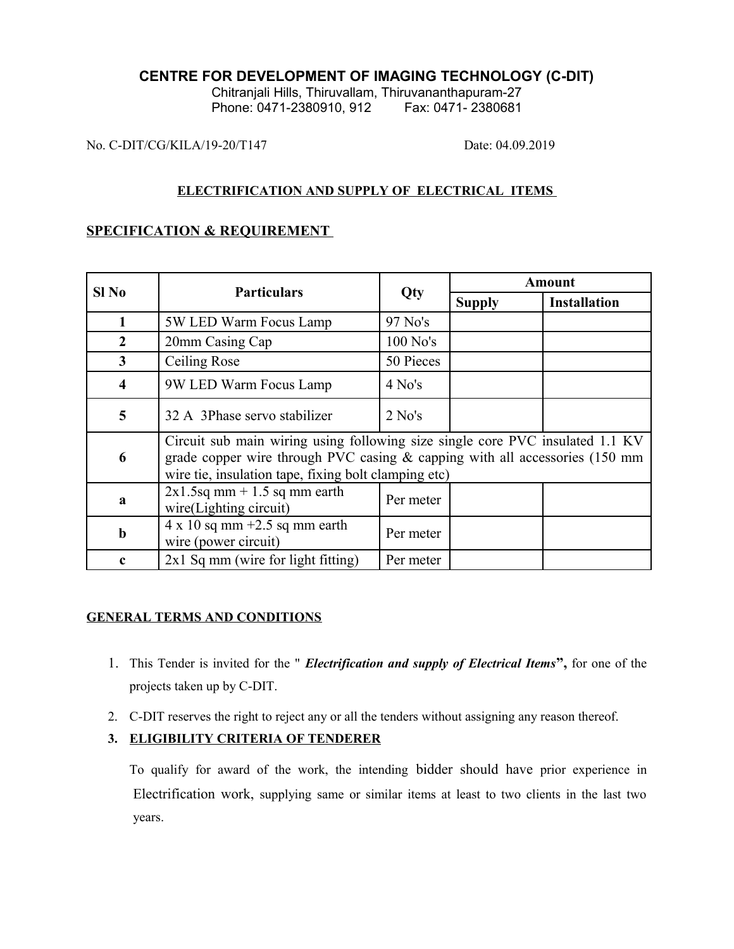## **CENTRE FOR DEVELOPMENT OF IMAGING TECHNOLOGY (C-DIT)**

Chitranjali Hills, Thiruvallam, Thiruvananthapuram-27 Phone: 0471-2380910, 912 Fax: 0471- 2380681

No. C-DIT/CG/KILA/19-20/T147 Date: 04.09.2019

## **ELECTRIFICATION AND SUPPLY OF ELECTRICAL ITEMS**

## **SPECIFICATION & REQUIREMENT**

| Sl No                   | <b>Particulars</b>                                                                                                                                                                                                     | Qty        | <b>Amount</b> |                     |
|-------------------------|------------------------------------------------------------------------------------------------------------------------------------------------------------------------------------------------------------------------|------------|---------------|---------------------|
|                         |                                                                                                                                                                                                                        |            | <b>Supply</b> | <b>Installation</b> |
| 1                       | 5W LED Warm Focus Lamp                                                                                                                                                                                                 | 97 No's    |               |                     |
| $\overline{2}$          | 20mm Casing Cap                                                                                                                                                                                                        | $100$ No's |               |                     |
| 3                       | Ceiling Rose                                                                                                                                                                                                           | 50 Pieces  |               |                     |
| $\overline{\mathbf{4}}$ | 9W LED Warm Focus Lamp                                                                                                                                                                                                 | $4$ No's   |               |                     |
| 5                       | 32 A 3Phase servo stabilizer                                                                                                                                                                                           | $2$ No's   |               |                     |
| 6                       | Circuit sub main wiring using following size single core PVC insulated 1.1 KV<br>grade copper wire through PVC casing $&$ capping with all accessories (150 mm<br>wire tie, insulation tape, fixing bolt clamping etc) |            |               |                     |
| a                       | $2x1.5sq$ mm + 1.5 sq mm earth<br>wire(Lighting circuit)                                                                                                                                                               | Per meter  |               |                     |
| $\mathbf b$             | $4 \times 10$ sq mm +2.5 sq mm earth<br>wire (power circuit)                                                                                                                                                           | Per meter  |               |                     |
| c                       | $2x1$ Sq mm (wire for light fitting)                                                                                                                                                                                   | Per meter  |               |                     |

# **GENERAL TERMS AND CONDITIONS**

- 1. This Tender is invited for the " *Electrification and supply of Electrical Items***",** for one of the projects taken up by C-DIT.
- 2. C-DIT reserves the right to reject any or all the tenders without assigning any reason thereof.

# **3. ELIGIBILITY CRITERIA OF TENDERER**

To qualify for award of the work, the intending bidder should have prior experience in Electrification work, supplying same or similar items at least to two clients in the last two years.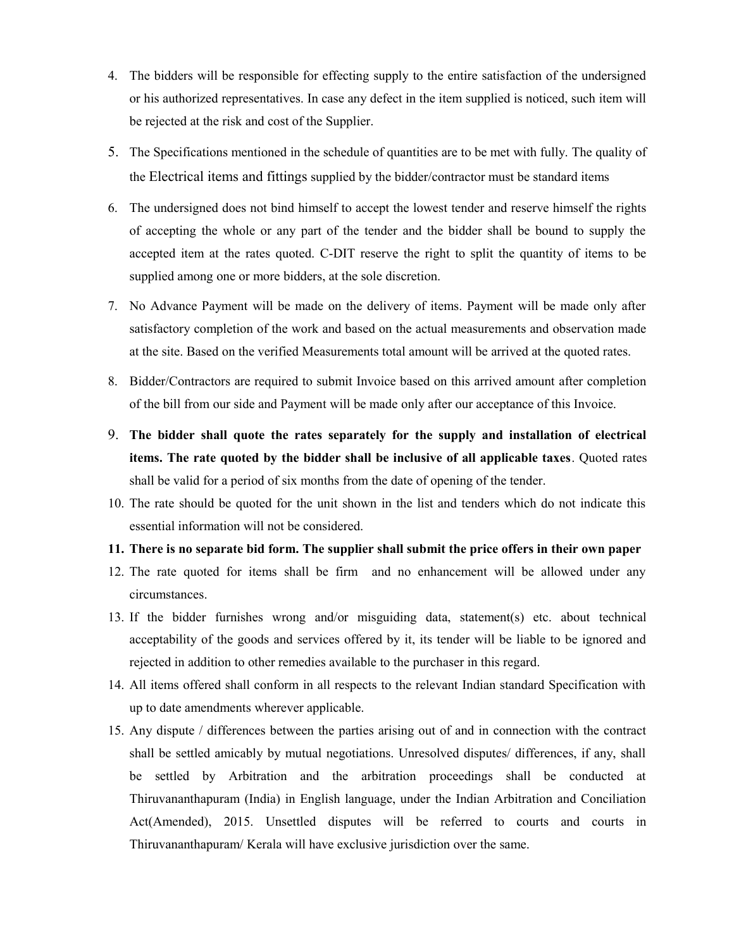- 4. The bidders will be responsible for effecting supply to the entire satisfaction of the undersigned or his authorized representatives. In case any defect in the item supplied is noticed, such item will be rejected at the risk and cost of the Supplier.
- 5. The Specifications mentioned in the schedule of quantities are to be met with fully. The quality of the Electrical items and fittings supplied by the bidder/contractor must be standard items
- 6. The undersigned does not bind himself to accept the lowest tender and reserve himself the rights of accepting the whole or any part of the tender and the bidder shall be bound to supply the accepted item at the rates quoted. C-DIT reserve the right to split the quantity of items to be supplied among one or more bidders, at the sole discretion.
- 7. No Advance Payment will be made on the delivery of items. Payment will be made only after satisfactory completion of the work and based on the actual measurements and observation made at the site. Based on the verified Measurements total amount will be arrived at the quoted rates.
- 8. Bidder/Contractors are required to submit Invoice based on this arrived amount after completion of the bill from our side and Payment will be made only after our acceptance of this Invoice.
- 9. **The bidder shall quote the rates separately for the supply and installation of electrical items. The rate quoted by the bidder shall be inclusive of all applicable taxes**. Quoted rates shall be valid for a period of six months from the date of opening of the tender.
- 10. The rate should be quoted for the unit shown in the list and tenders which do not indicate this essential information will not be considered.

#### **11. There is no separate bid form. The supplier shall submit the price offers in their own paper**

- 12. The rate quoted for items shall be firm and no enhancement will be allowed under any circumstances.
- 13. If the bidder furnishes wrong and/or misguiding data, statement(s) etc. about technical acceptability of the goods and services offered by it, its tender will be liable to be ignored and rejected in addition to other remedies available to the purchaser in this regard.
- 14. All items offered shall conform in all respects to the relevant Indian standard Specification with up to date amendments wherever applicable.
- 15. Any dispute / differences between the parties arising out of and in connection with the contract shall be settled amicably by mutual negotiations. Unresolved disputes/ differences, if any, shall be settled by Arbitration and the arbitration proceedings shall be conducted at Thiruvananthapuram (India) in English language, under the Indian Arbitration and Conciliation Act(Amended), 2015. Unsettled disputes will be referred to courts and courts in Thiruvananthapuram/ Kerala will have exclusive jurisdiction over the same.